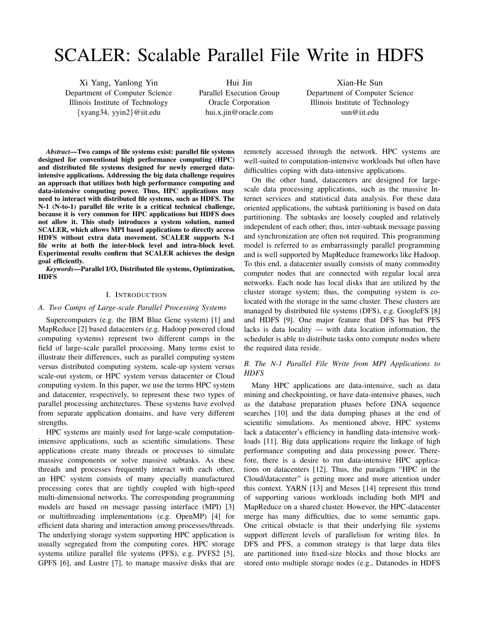# SCALER: Scalable Parallel File Write in HDFS

Xi Yang, Yanlong Yin Department of Computer Science Illinois Institute of Technology {xyang34, yyin2}@iit.edu

Hui Jin Parallel Execution Group Oracle Corporation hui.x.jin@oracle.com

Xian-He Sun Department of Computer Science Illinois Institute of Technology sun@iit.edu

*Abstract*—Two camps of file systems exist: parallel file systems designed for conventional high performance computing (HPC) and distributed file systems designed for newly emerged dataintensive applications. Addressing the big data challenge requires an approach that utilizes both high performance computing and data-intensive computing power. Thus, HPC applications may need to interact with distributed file systems, such as HDFS. The N-1 (N-to-1) parallel file write is a critical technical challenge, because it is very common for HPC applications but HDFS does not allow it. This study introduces a system solution, named SCALER, which allows MPI based applications to directly access HDFS without extra data movement. SCALER supports N-1 file write at both the inter-block level and intra-block level. Experimental results confirm that SCALER achieves the design goal efficiently.

*Keywords*—Parallel I/O, Distributed file systems, Optimization, **HDFS** 

#### I. INTRODUCTION

## *A. Two Camps of Large-scale Parallel Processing Systems*

Supercomputers (e.g. the IBM Blue Gene system) [1] and MapReduce [2] based datacenters (e.g. Hadoop powered cloud computing systems) represent two different camps in the field of large-scale parallel processing. Many terms exist to illustrate their differences, such as parallel computing system versus distributed computing system, scale-up system versus scale-out system, or HPC system versus datacenter or Cloud computing system. In this paper, we use the terms HPC system and datacenter, respectively, to represent these two types of parallel processing architectures. These systems have evolved from separate application domains, and have very different strengths.

HPC systems are mainly used for large-scale computationintensive applications, such as scientific simulations. These applications create many threads or processes to simulate massive components or solve massive subtasks. As these threads and processes frequently interact with each other, an HPC system consists of many specially manufactured processing cores that are tightly coupled with high-speed multi-dimensional networks. The corresponding programming models are based on message passing interface (MPI) [3] or multithreading implementations (e.g. OpenMP) [4] for efficient data sharing and interaction among processes/threads. The underlying storage system supporting HPC application is usually segregated from the computing cores. HPC storage systems utilize parallel file systems (PFS), e.g. PVFS2 [5], GPFS [6], and Lustre [7], to manage massive disks that are

remotely accessed through the network. HPC systems are well-suited to computation-intensive workloads but often have difficulties coping with data-intensive applications.

On the other hand, datacenters are designed for largescale data processing applications, such as the massive Internet services and statistical data analysis. For these data oriented applications, the subtask partitioning is based on data partitioning. The subtasks are loosely coupled and relatively independent of each other; thus, inter-subtask message passing and synchronization are often not required. This programming model is referred to as embarrassingly parallel programming and is well supported by MapReduce frameworks like Hadoop. To this end, a datacenter usually consists of many commodity computer nodes that are connected with regular local area networks. Each node has local disks that are utilized by the cluster storage system; thus, the computing system is colocated with the storage in the same cluster. These clusters are managed by distributed file systems (DFS), e.g. GoogleFS [8] and HDFS [9]. One major feature that DFS has but PFS lacks is data locality — with data location information, the scheduler is able to distribute tasks onto compute nodes where the required data reside.

## *B. The N-1 Parallel File Write from MPI Applications to HDFS*

Many HPC applications are data-intensive, such as data mining and checkpointing, or have data-intensive phases, such as the database preparation phases before DNA sequence searches [10] and the data dumping phases at the end of scientific simulations. As mentioned above, HPC systems lack a datacenter's efficiency in handling data-intensive workloads [11]. Big data applications require the linkage of high performance computing and data processing power. Therefore, there is a desire to run data-intensive HPC applications on datacenters [12]. Thus, the paradigm "HPC in the Cloud/datacenter" is getting more and more attention under this context. YARN [13] and Mesos [14] represent this trend of supporting various workloads including both MPI and MapReduce on a shared cluster. However, the HPC-datacenter merge has many difficulties, due to some semantic gaps. One critical obstacle is that their underlying file systems support different levels of parallelism for writing files. In DFS and PFS, a common strategy is that large data files are partitioned into fixed-size blocks and those blocks are stored onto multiple storage nodes (e.g., Datanodes in HDFS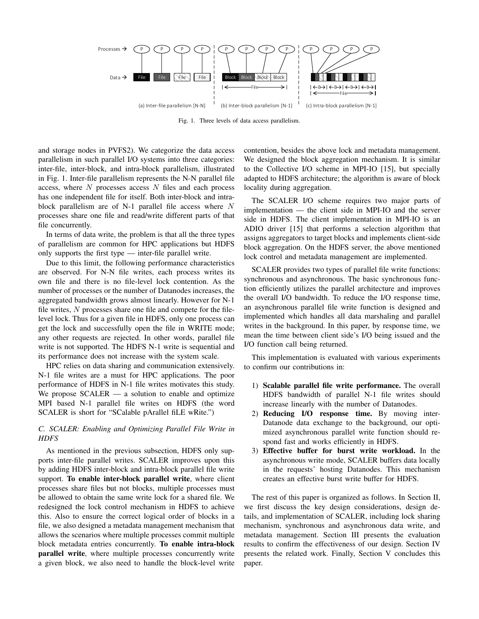

Fig. 1. Three levels of data access parallelism.

and storage nodes in PVFS2). We categorize the data access parallelism in such parallel I/O systems into three categories: inter-file, inter-block, and intra-block parallelism, illustrated in Fig. 1. Inter-file parallelism represents the N-N parallel file access, where N processes access N files and each process has one independent file for itself. Both inter-block and intrablock parallelism are of  $N-1$  parallel file access where  $N$ processes share one file and read/write different parts of that file concurrently.

In terms of data write, the problem is that all the three types of parallelism are common for HPC applications but HDFS only supports the first type — inter-file parallel write.

Due to this limit, the following performance characteristics are observed. For N-N file writes, each process writes its own file and there is no file-level lock contention. As the number of processes or the number of Datanodes increases, the aggregated bandwidth grows almost linearly. However for N-1 file writes,  $N$  processes share one file and compete for the filelevel lock. Thus for a given file in HDFS, only one process can get the lock and successfully open the file in WRITE mode; any other requests are rejected. In other words, parallel file write is not supported. The HDFS N-1 write is sequential and its performance does not increase with the system scale.

HPC relies on data sharing and communication extensively. N-1 file writes are a must for HPC applications. The poor performance of HDFS in N-1 file writes motivates this study. We propose  $SCALER$  — a solution to enable and optimize MPI based N-1 parallel file writes on HDFS (the word SCALER is short for "SCalable pArallel fiLE wRite.")

## *C. SCALER: Enabling and Optimizing Parallel File Write in HDFS*

As mentioned in the previous subsection, HDFS only supports inter-file parallel writes. SCALER improves upon this by adding HDFS inter-block and intra-block parallel file write support. To enable inter-block parallel write, where client processes share files but not blocks, multiple processes must be allowed to obtain the same write lock for a shared file. We redesigned the lock control mechanism in HDFS to achieve this. Also to ensure the correct logical order of blocks in a file, we also designed a metadata management mechanism that allows the scenarios where multiple processes commit multiple block metadata entries concurrently. To enable intra-block parallel write, where multiple processes concurrently write a given block, we also need to handle the block-level write contention, besides the above lock and metadata management. We designed the block aggregation mechanism. It is similar to the Collective I/O scheme in MPI-IO [15], but specially adapted to HDFS architecture; the algorithm is aware of block locality during aggregation.

The SCALER I/O scheme requires two major parts of implementation — the client side in MPI-IO and the server side in HDFS. The client implementation in MPI-IO is an ADIO driver [15] that performs a selection algorithm that assigns aggregators to target blocks and implements client-side block aggregation. On the HDFS server, the above mentioned lock control and metadata management are implemented.

SCALER provides two types of parallel file write functions: synchronous and asynchronous. The basic synchronous function efficiently utilizes the parallel architecture and improves the overall I/O bandwidth. To reduce the I/O response time, an asynchronous parallel file write function is designed and implemented which handles all data marshaling and parallel writes in the background. In this paper, by response time, we mean the time between client side's I/O being issued and the I/O function call being returned.

This implementation is evaluated with various experiments to confirm our contributions in:

- 1) Scalable parallel file write performance. The overall HDFS bandwidth of parallel N-1 file writes should increase linearly with the number of Datanodes.
- 2) Reducing I/O response time. By moving inter-Datanode data exchange to the background, our optimized asynchronous parallel write function should respond fast and works efficiently in HDFS.
- 3) Effective buffer for burst write workload. In the asynchronous write mode, SCALER buffers data locally in the requests' hosting Datanodes. This mechanism creates an effective burst write buffer for HDFS.

The rest of this paper is organized as follows. In Section II, we first discuss the key design considerations, design details, and implementation of SCALER, including lock sharing mechanism, synchronous and asynchronous data write, and metadata management. Section III presents the evaluation results to confirm the effectiveness of our design. Section IV presents the related work. Finally, Section V concludes this paper.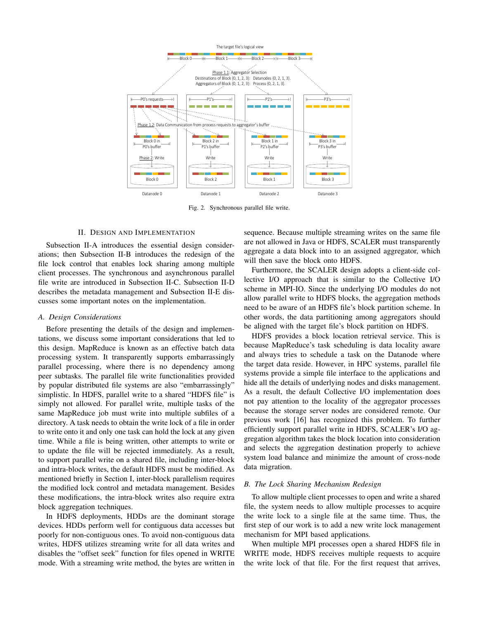

Fig. 2. Synchronous parallel file write.

#### II. DESIGN AND IMPLEMENTATION

Subsection II-A introduces the essential design considerations; then Subsection II-B introduces the redesign of the file lock control that enables lock sharing among multiple client processes. The synchronous and asynchronous parallel file write are introduced in Subsection II-C. Subsection II-D describes the metadata management and Subsection II-E discusses some important notes on the implementation.

#### *A. Design Considerations*

Before presenting the details of the design and implementations, we discuss some important considerations that led to this design. MapReduce is known as an effective batch data processing system. It transparently supports embarrassingly parallel processing, where there is no dependency among peer subtasks. The parallel file write functionalities provided by popular distributed file systems are also "embarrassingly" simplistic. In HDFS, parallel write to a shared "HDFS file" is simply not allowed. For parallel write, multiple tasks of the same MapReduce job must write into multiple subfiles of a directory. A task needs to obtain the write lock of a file in order to write onto it and only one task can hold the lock at any given time. While a file is being written, other attempts to write or to update the file will be rejected immediately. As a result, to support parallel write on a shared file, including inter-block and intra-block writes, the default HDFS must be modified. As mentioned briefly in Section I, inter-block parallelism requires the modified lock control and metadata management. Besides these modifications, the intra-block writes also require extra block aggregation techniques.

In HDFS deployments, HDDs are the dominant storage devices. HDDs perform well for contiguous data accesses but poorly for non-contiguous ones. To avoid non-contiguous data writes, HDFS utilizes streaming write for all data writes and disables the "offset seek" function for files opened in WRITE mode. With a streaming write method, the bytes are written in sequence. Because multiple streaming writes on the same file are not allowed in Java or HDFS, SCALER must transparently aggregate a data block into to an assigned aggregator, which will then save the block onto HDFS.

Furthermore, the SCALER design adopts a client-side collective I/O approach that is similar to the Collective I/O scheme in MPI-IO. Since the underlying I/O modules do not allow parallel write to HDFS blocks, the aggregation methods need to be aware of an HDFS file's block partition scheme. In other words, the data partitioning among aggregators should be aligned with the target file's block partition on HDFS.

HDFS provides a block location retrieval service. This is because MapReduce's task scheduling is data locality aware and always tries to schedule a task on the Datanode where the target data reside. However, in HPC systems, parallel file systems provide a simple file interface to the applications and hide all the details of underlying nodes and disks management. As a result, the default Collective I/O implementation does not pay attention to the locality of the aggregator processes because the storage server nodes are considered remote. Our previous work [16] has recognized this problem. To further efficiently support parallel write in HDFS, SCALER's I/O aggregation algorithm takes the block location into consideration and selects the aggregation destination properly to achieve system load balance and minimize the amount of cross-node data migration.

#### *B. The Lock Sharing Mechanism Redesign*

To allow multiple client processes to open and write a shared file, the system needs to allow multiple processes to acquire the write lock to a single file at the same time. Thus, the first step of our work is to add a new write lock management mechanism for MPI based applications.

When multiple MPI processes open a shared HDFS file in WRITE mode, HDFS receives multiple requests to acquire the write lock of that file. For the first request that arrives,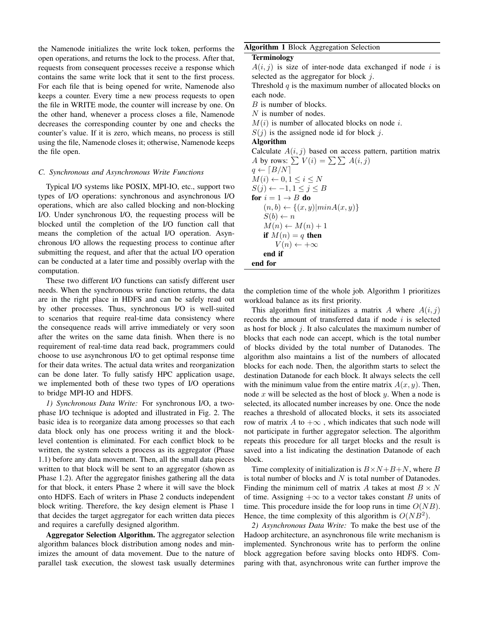the Namenode initializes the write lock token, performs the open operations, and returns the lock to the process. After that, requests from consequent processes receive a response which contains the same write lock that it sent to the first process. For each file that is being opened for write, Namenode also keeps a counter. Every time a new process requests to open the file in WRITE mode, the counter will increase by one. On the other hand, whenever a process closes a file, Namenode decreases the corresponding counter by one and checks the counter's value. If it is zero, which means, no process is still using the file, Namenode closes it; otherwise, Namenode keeps the file open.

#### *C. Synchronous and Asynchronous Write Functions*

Typical I/O systems like POSIX, MPI-IO, etc., support two types of I/O operations: synchronous and asynchronous I/O operations, which are also called blocking and non-blocking I/O. Under synchronous I/O, the requesting process will be blocked until the completion of the I/O function call that means the completion of the actual I/O operation. Asynchronous I/O allows the requesting process to continue after submitting the request, and after that the actual I/O operation can be conducted at a later time and possibly overlap with the computation.

These two different I/O functions can satisfy different user needs. When the synchronous write function returns, the data are in the right place in HDFS and can be safely read out by other processes. Thus, synchronous I/O is well-suited to scenarios that require real-time data consistency where the consequence reads will arrive immediately or very soon after the writes on the same data finish. When there is no requirement of real-time data read back, programmers could choose to use asynchronous I/O to get optimal response time for their data writes. The actual data writes and reorganization can be done later. To fully satisfy HPC application usage, we implemented both of these two types of I/O operations to bridge MPI-IO and HDFS.

*1) Synchronous Data Write:* For synchronous I/O, a twophase I/O technique is adopted and illustrated in Fig. 2. The basic idea is to reorganize data among processes so that each data block only has one process writing it and the blocklevel contention is eliminated. For each conflict block to be written, the system selects a process as its aggregator (Phase 1.1) before any data movement. Then, all the small data pieces written to that block will be sent to an aggregator (shown as Phase 1.2). After the aggregator finishes gathering all the data for that block, it enters Phase 2 where it will save the block onto HDFS. Each of writers in Phase 2 conducts independent block writing. Therefore, the key design element is Phase 1 that decides the target aggregator for each written data pieces and requires a carefully designed algorithm.

Aggregator Selection Algorithm. The aggregator selection algorithm balances block distribution among nodes and minimizes the amount of data movement. Due to the nature of parallel task execution, the slowest task usually determines

## Algorithm 1 Block Aggregation Selection

## Terminology

 $A(i, j)$  is size of inter-node data exchanged if node i is selected as the aggregator for block j.

Threshold  $q$  is the maximum number of allocated blocks on each node.

B is number of blocks.

- N is number of nodes.
- $M(i)$  is number of allocated blocks on node i.
- $S(i)$  is the assigned node id for block j.

#### Algorithm

Calculate  $A(i, j)$  based on access pattern, partition matrix A by rows:  $\sum V(i) = \sum \sum A(i, j)$  $q \leftarrow \lceil B/N \rceil$  $M(i) \leftarrow 0, 1 \leq i \leq N$  $S(j) \leftarrow -1, 1 \leq j \leq B$ for  $i = 1 \rightarrow B$  do  $(n, b) \leftarrow \{(x, y) | minA(x, y)\}\$  $S(b) \leftarrow n$  $M(n) \leftarrow M(n) + 1$ if  $M(n) = q$  then  $V(n) \leftarrow +\infty$ end if end for

the completion time of the whole job. Algorithm 1 prioritizes workload balance as its first priority.

This algorithm first initializes a matrix A where  $A(i, j)$ records the amount of transferred data if node  $i$  is selected as host for block  $j$ . It also calculates the maximum number of blocks that each node can accept, which is the total number of blocks divided by the total number of Datanodes. The algorithm also maintains a list of the numbers of allocated blocks for each node. Then, the algorithm starts to select the destination Datanode for each block. It always selects the cell with the minimum value from the entire matrix  $A(x, y)$ . Then, node x will be selected as the host of block y. When a node is selected, its allocated number increases by one. Once the node reaches a threshold of allocated blocks, it sets its associated row of matrix A to  $+\infty$ , which indicates that such node will not participate in further aggregator selection. The algorithm repeats this procedure for all target blocks and the result is saved into a list indicating the destination Datanode of each block.

Time complexity of initialization is  $B \times N+B+N$ , where B is total number of blocks and  $N$  is total number of Datanodes. Finding the minimum cell of matrix A takes at most  $B \times N$ of time. Assigning  $+\infty$  to a vector takes constant B units of time. This procedure inside the for loop runs in time  $O(NB)$ . Hence, the time complexity of this algorithm is  $O(NB^2)$ .

*2) Asynchronous Data Write:* To make the best use of the Hadoop architecture, an asynchronous file write mechanism is implemented. Synchronous write has to perform the online block aggregation before saving blocks onto HDFS. Comparing with that, asynchronous write can further improve the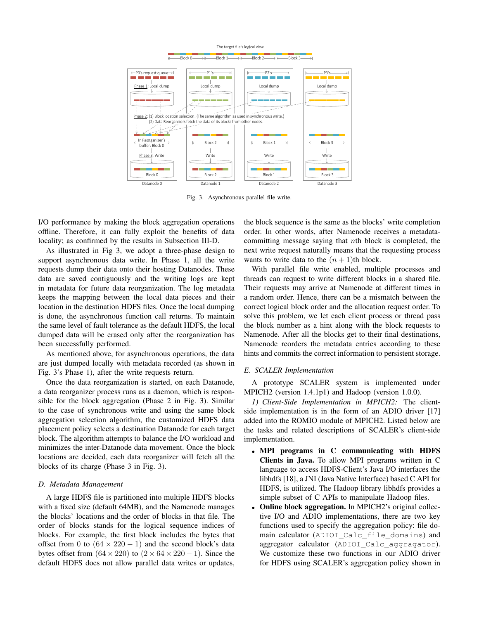

Fig. 3. Asynchronous parallel file write.

I/O performance by making the block aggregation operations offline. Therefore, it can fully exploit the benefits of data locality; as confirmed by the results in Subsection III-D.

As illustrated in Fig 3, we adopt a three-phase design to support asynchronous data write. In Phase 1, all the write requests dump their data onto their hosting Datanodes. These data are saved contiguously and the writing logs are kept in metadata for future data reorganization. The log metadata keeps the mapping between the local data pieces and their location in the destination HDFS files. Once the local dumping is done, the asynchronous function call returns. To maintain the same level of fault tolerance as the default HDFS, the local dumped data will be erased only after the reorganization has been successfully performed.

As mentioned above, for asynchronous operations, the data are just dumped locally with metadata recorded (as shown in Fig. 3's Phase 1), after the write requests return.

Once the data reorganization is started, on each Datanode, a data reorganizer process runs as a daemon, which is responsible for the block aggregation (Phase 2 in Fig. 3). Similar to the case of synchronous write and using the same block aggregation selection algorithm, the customized HDFS data placement policy selects a destination Datanode for each target block. The algorithm attempts to balance the I/O workload and minimizes the inter-Datanode data movement. Once the block locations are decided, each data reorganizer will fetch all the blocks of its charge (Phase 3 in Fig. 3).

#### *D. Metadata Management*

A large HDFS file is partitioned into multiple HDFS blocks with a fixed size (default 64MB), and the Namenode manages the blocks' locations and the order of blocks in that file. The order of blocks stands for the logical sequence indices of blocks. For example, the first block includes the bytes that offset from 0 to  $(64 \times 220 - 1)$  and the second block's data bytes offset from  $(64 \times 220)$  to  $(2 \times 64 \times 220 - 1)$ . Since the default HDFS does not allow parallel data writes or updates, the block sequence is the same as the blocks' write completion order. In other words, after Namenode receives a metadatacommitting message saying that  $n$ th block is completed, the next write request naturally means that the requesting process wants to write data to the  $(n + 1)$ th block.

With parallel file write enabled, multiple processes and threads can request to write different blocks in a shared file. Their requests may arrive at Namenode at different times in a random order. Hence, there can be a mismatch between the correct logical block order and the allocation request order. To solve this problem, we let each client process or thread pass the block number as a hint along with the block requests to Namenode. After all the blocks get to their final destinations, Namenode reorders the metadata entries according to these hints and commits the correct information to persistent storage.

#### *E. SCALER Implementation*

A prototype SCALER system is implemented under MPICH2 (version 1.4.1p1) and Hadoop (version 1.0.0).

*1) Client-Side Implementation in MPICH2:* The clientside implementation is in the form of an ADIO driver [17] added into the ROMIO module of MPICH2. Listed below are the tasks and related descriptions of SCALER's client-side implementation.

- MPI programs in C communicating with HDFS Clients in Java. To allow MPI programs written in C language to access HDFS-Client's Java I/O interfaces the libhdfs [18], a JNI (Java Native Interface) based C API for HDFS, is utilized. The Hadoop library libhdfs provides a simple subset of C APIs to manipulate Hadoop files.
- Online block aggregation. In MPICH2's original collective I/O and ADIO implementations, there are two key functions used to specify the aggregation policy: file domain calculator (ADIOI\_Calc\_file\_domains) and aggregator calculator (ADIOI Calc aggragator). We customize these two functions in our ADIO driver for HDFS using SCALER's aggregation policy shown in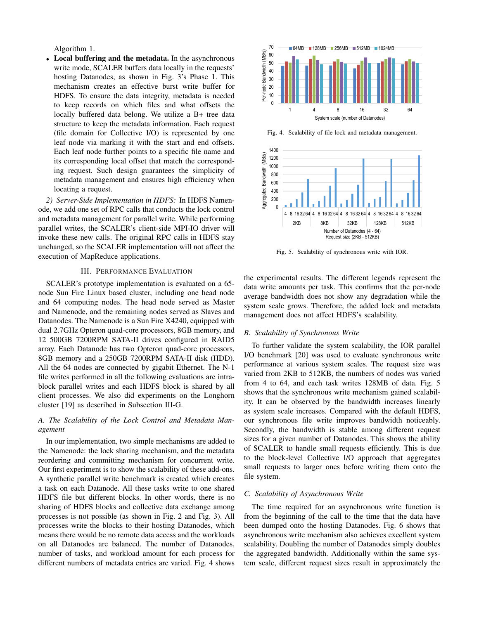Algorithm 1.

• Local buffering and the metadata. In the asynchronous write mode, SCALER buffers data locally in the requests' hosting Datanodes, as shown in Fig. 3's Phase 1. This mechanism creates an effective burst write buffer for HDFS. To ensure the data integrity, metadata is needed to keep records on which files and what offsets the locally buffered data belong. We utilize a B+ tree data structure to keep the metadata information. Each request (file domain for Collective I/O) is represented by one leaf node via marking it with the start and end offsets. Each leaf node further points to a specific file name and its corresponding local offset that match the corresponding request. Such design guarantees the simplicity of metadata management and ensures high efficiency when locating a request.

*2) Server-Side Implementation in HDFS:* In HDFS Namenode, we add one set of RPC calls that conducts the lock control and metadata management for parallel write. While performing parallel writes, the SCALER's client-side MPI-IO driver will invoke these new calls. The original RPC calls in HDFS stay unchanged, so the SCALER implementation will not affect the execution of MapReduce applications.

### III. PERFORMANCE EVALUATION

SCALER's prototype implementation is evaluated on a 65 node Sun Fire Linux based cluster, including one head node and 64 computing nodes. The head node served as Master and Namenode, and the remaining nodes served as Slaves and Datanodes. The Namenode is a Sun Fire X4240, equipped with dual 2.7GHz Opteron quad-core processors, 8GB memory, and 12 500GB 7200RPM SATA-II drives configured in RAID5 array. Each Datanode has two Opteron quad-core processors, 8GB memory and a 250GB 7200RPM SATA-II disk (HDD). All the 64 nodes are connected by gigabit Ethernet. The N-1 file writes performed in all the following evaluations are intrablock parallel writes and each HDFS block is shared by all client processes. We also did experiments on the Longhorn cluster [19] as described in Subsection III-G.

## *A. The Scalability of the Lock Control and Metadata Management*

In our implementation, two simple mechanisms are added to the Namenode: the lock sharing mechanism, and the metadata reordering and committing mechanism for concurrent write. Our first experiment is to show the scalability of these add-ons. A synthetic parallel write benchmark is created which creates a task on each Datanode. All these tasks write to one shared HDFS file but different blocks. In other words, there is no sharing of HDFS blocks and collective data exchange among processes is not possible (as shown in Fig. 2 and Fig. 3). All processes write the blocks to their hosting Datanodes, which means there would be no remote data access and the workloads on all Datanodes are balanced. The number of Datanodes, number of tasks, and workload amount for each process for different numbers of metadata entries are varied. Fig. 4 shows



Fig. 4. Scalability of file lock and metadata management.



Fig. 5. Scalability of synchronous write with IOR.

the experimental results. The different legends represent the data write amounts per task. This confirms that the per-node average bandwidth does not show any degradation while the system scale grows. Therefore, the added lock and metadata management does not affect HDFS's scalability.

#### *B. Scalability of Synchronous Write*

To further validate the system scalability, the IOR parallel I/O benchmark [20] was used to evaluate synchronous write performance at various system scales. The request size was varied from 2KB to 512KB, the numbers of nodes was varied from 4 to 64, and each task writes 128MB of data. Fig. 5 shows that the synchronous write mechanism gained scalability. It can be observed by the bandwidth increases linearly as system scale increases. Compared with the default HDFS, our synchronous file write improves bandwidth noticeably. Secondly, the bandwidth is stable among different request sizes for a given number of Datanodes. This shows the ability of SCALER to handle small requests efficiently. This is due to the block-level Collective I/O approach that aggregates small requests to larger ones before writing them onto the file system.

#### *C. Scalability of Asynchronous Write*

The time required for an asynchronous write function is from the beginning of the call to the time that the data have been dumped onto the hosting Datanodes. Fig. 6 shows that asynchronous write mechanism also achieves excellent system scalability. Doubling the number of Datanodes simply doubles the aggregated bandwidth. Additionally within the same system scale, different request sizes result in approximately the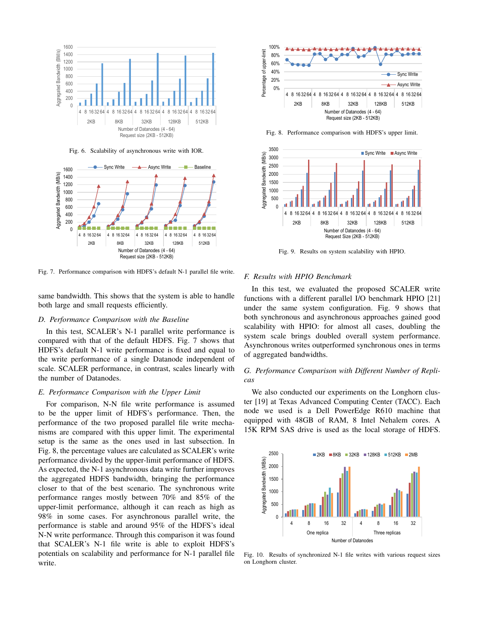

Fig. 6. Scalability of asynchronous write with IOR.



Fig. 7. Performance comparison with HDFS's default N-1 parallel file write.

same bandwidth. This shows that the system is able to handle both large and small requests efficiently.

#### *D. Performance Comparison with the Baseline*

In this test, SCALER's N-1 parallel write performance is compared with that of the default HDFS. Fig. 7 shows that HDFS's default N-1 write performance is fixed and equal to the write performance of a single Datanode independent of scale. SCALER performance, in contrast, scales linearly with the number of Datanodes.

#### *E. Performance Comparison with the Upper Limit*

For comparison, N-N file write performance is assumed to be the upper limit of HDFS's performance. Then, the performance of the two proposed parallel file write mechanisms are compared with this upper limit. The experimental setup is the same as the ones used in last subsection. In Fig. 8, the percentage values are calculated as SCALER's write performance divided by the upper-limit performance of HDFS. As expected, the N-1 asynchronous data write further improves the aggregated HDFS bandwidth, bringing the performance closer to that of the best scenario. The synchronous write performance ranges mostly between 70% and 85% of the upper-limit performance, although it can reach as high as 98% in some cases. For asynchronous parallel write, the performance is stable and around 95% of the HDFS's ideal N-N write performance. Through this comparison it was found that SCALER's N-1 file write is able to exploit HDFS's potentials on scalability and performance for N-1 parallel file write.



Fig. 8. Performance comparison with HDFS's upper limit.



Fig. 9. Results on system scalability with HPIO.

#### *F. Results with HPIO Benchmark*

In this test, we evaluated the proposed SCALER write functions with a different parallel I/O benchmark HPIO [21] under the same system configuration. Fig. 9 shows that both synchronous and asynchronous approaches gained good scalability with HPIO: for almost all cases, doubling the system scale brings doubled overall system performance. Asynchronous writes outperformed synchronous ones in terms of aggregated bandwidths.

## *G. Performance Comparison with Different Number of Replicas*

We also conducted our experiments on the Longhorn cluster [19] at Texas Advanced Computing Center (TACC). Each node we used is a Dell PowerEdge R610 machine that equipped with 48GB of RAM, 8 Intel Nehalem cores. A 15K RPM SAS drive is used as the local storage of HDFS.



Fig. 10. Results of synchronized N-1 file writes with various request sizes on Longhorn cluster.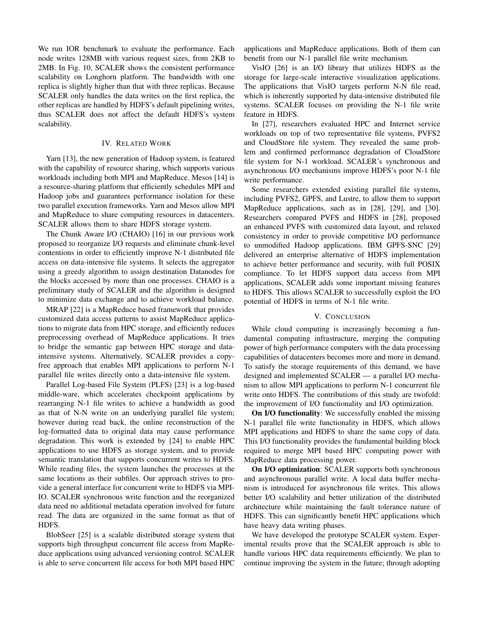We run IOR benchmark to evaluate the performance. Each node writes 128MB with various request sizes, from 2KB to 2MB. In Fig. 10, SCALER shows the consistent performance scalability on Longhorn platform. The bandwidth with one replica is slightly higher than that with three replicas. Because SCALER only handles the data writes on the first replica, the other replicas are handled by HDFS's default pipelining writes, thus SCALER does not affect the default HDFS's system scalability.

#### IV. RELATED WORK

Yarn [13], the new generation of Hadoop system, is featured with the capability of resource sharing, which supports various workloads including both MPI and MapReduce. Mesos [14] is a resource-sharing platform that efficiently schedules MPI and Hadoop jobs and guarantees performance isolation for these two parallel execution frameworks. Yarn and Mesos allow MPI and MapReduce to share computing resources in datacenters. SCALER allows them to share HDFS storage system.

The Chunk Aware I/O (CHAIO) [16] in our previous work proposed to reorganize I/O requests and eliminate chunk-level contentions in order to efficiently improve N-1 distributed file access on data-intensive file systems. It selects the aggregator using a greedy algorithm to assign destination Datanodes for the blocks accessed by more than one processes. CHAIO is a preliminary study of SCALER and the algorithm is designed to minimize data exchange and to achieve workload balance.

MRAP [22] is a MapReduce based framework that provides customized data access patterns to assist MapReduce applications to migrate data from HPC storage, and efficiently reduces preprocessing overhead of MapReduce applications. It tries to bridge the semantic gap between HPC storage and dataintensive systems. Alternatively, SCALER provides a copyfree approach that enables MPI applications to perform N-1 parallel file writes directly onto a data-intensive file system.

Parallel Log-based File System (PLFS) [23] is a log-based middle-ware, which accelerates checkpoint applications by rearranging N-1 file writes to achieve a bandwidth as good as that of N-N write on an underlying parallel file system; however during read back, the online reconstruction of the log-formatted data to original data may cause performance degradation. This work is extended by [24] to enable HPC applications to use HDFS as storage system, and to provide semantic translation that supports concurrent writes to HDFS. While reading files, the system launches the processes at the same locations as their subfiles. Our approach strives to provide a general interface for concurrent write to HDFS via MPI-IO. SCALER synchronous write function and the reorganized data need no additional metadata operation involved for future read. The data are organized in the same format as that of HDFS.

BlobSeer [25] is a scalable distributed storage system that supports high throughput concurrent file access from MapReduce applications using advanced versioning control. SCALER is able to serve concurrent file access for both MPI based HPC applications and MapReduce applications. Both of them can benefit from our N-1 parallel file write mechanism.

VisIO [26] is an I/O library that utilizes HDFS as the storage for large-scale interactive visualization applications. The applications that VisIO targets perform N-N file read, which is inherently supported by data-intensive distributed file systems. SCALER focuses on providing the N-1 file write feature in HDFS.

In [27], researchers evaluated HPC and Internet service workloads on top of two representative file systems, PVFS2 and CloudStore file system. They revealed the same problem and confirmed performance degradation of CloudStore file system for N-1 workload. SCALER's synchronous and asynchronous I/O mechanisms improve HDFS's poor N-1 file write performance.

Some researchers extended existing parallel file systems, including PVFS2, GPFS, and Lustre, to allow them to support MapReduce applications, such as in [28], [29], and [30]. Researchers compared PVFS and HDFS in [28], proposed an enhanced PVFS with customized data layout, and relaxed consistency in order to provide competitive I/O performance to unmodified Hadoop applications. IBM GPFS-SNC [29] delivered an enterprise alternative of HDFS implementation to achieve better performance and security, with full POSIX compliance. To let HDFS support data access from MPI applications, SCALER adds some important missing features to HDFS. This allows SCALER to successfully exploit the I/O potential of HDFS in terms of N-1 file write.

#### V. CONCLUSION

While cloud computing is increasingly becoming a fundamental computing infrastructure, merging the computing power of high performance computers with the data processing capabilities of datacenters becomes more and more in demand. To satisfy the storage requirements of this demand, we have designed and implemented SCALER — a parallel I/O mechanism to allow MPI applications to perform N-1 concurrent file write onto HDFS. The contributions of this study are twofold: the improvement of I/O functionality and I/O optimization.

On I/O functionality: We successfully enabled the missing N-1 parallel file write functionality in HDFS, which allows MPI applications and HDFS to share the same copy of data. This I/O functionality provides the fundamental building block required to merge MPI based HPC computing power with MapReduce data processing power.

On I/O optimization: SCALER supports both synchronous and asynchronous parallel write. A local data buffer mechanism is introduced for asynchronous file writes. This allows better I/O scalability and better utilization of the distributed architecture while maintaining the fault tolerance nature of HDFS. This can significantly benefit HPC applications which have heavy data writing phases.

We have developed the prototype SCALER system. Experimental results prove that the SCALER approach is able to handle various HPC data requirements efficiently. We plan to continue improving the system in the future; through adopting